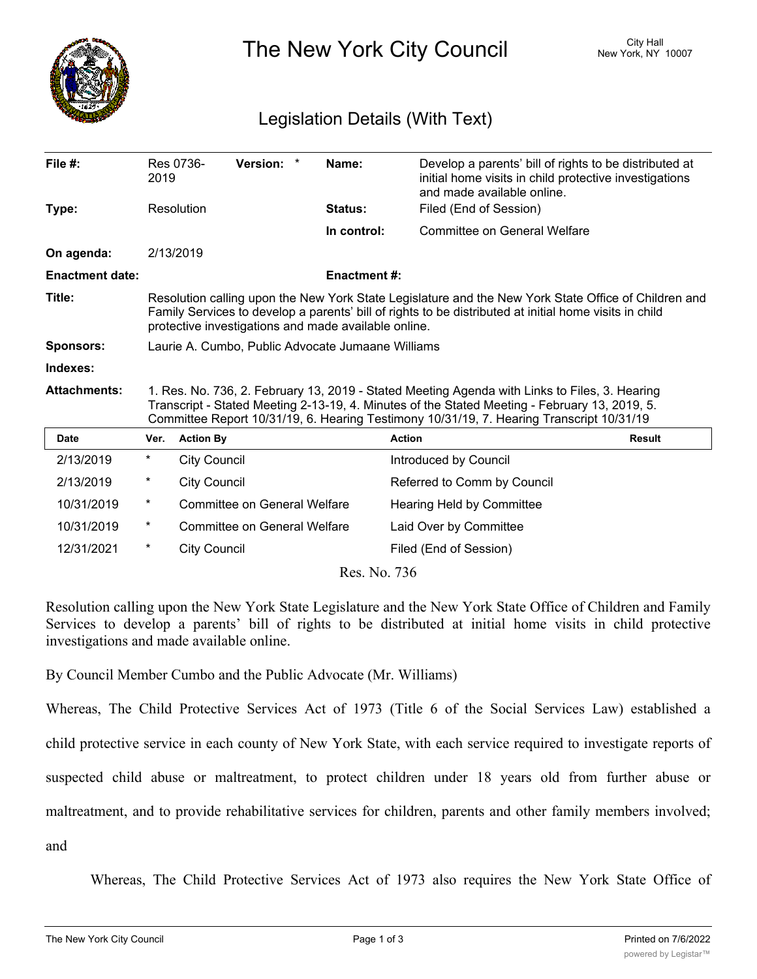

The New York City Council New York, NY 10007

## Legislation Details (With Text)

| File $#$ :             | Res 0736-<br>2019                                                                                                                                                                                                                                                                          |                                     | <b>Version:</b><br>$\ast$ |  | Name:               | Develop a parents' bill of rights to be distributed at<br>initial home visits in child protective investigations<br>and made available online. |               |
|------------------------|--------------------------------------------------------------------------------------------------------------------------------------------------------------------------------------------------------------------------------------------------------------------------------------------|-------------------------------------|---------------------------|--|---------------------|------------------------------------------------------------------------------------------------------------------------------------------------|---------------|
| Type:                  | Resolution                                                                                                                                                                                                                                                                                 |                                     |                           |  | Status:             | Filed (End of Session)                                                                                                                         |               |
|                        |                                                                                                                                                                                                                                                                                            |                                     |                           |  | In control:         | Committee on General Welfare                                                                                                                   |               |
| On agenda:             |                                                                                                                                                                                                                                                                                            | 2/13/2019                           |                           |  |                     |                                                                                                                                                |               |
| <b>Enactment date:</b> |                                                                                                                                                                                                                                                                                            |                                     |                           |  | <b>Enactment #:</b> |                                                                                                                                                |               |
| Title:                 | Resolution calling upon the New York State Legislature and the New York State Office of Children and<br>Family Services to develop a parents' bill of rights to be distributed at initial home visits in child<br>protective investigations and made available online.                     |                                     |                           |  |                     |                                                                                                                                                |               |
| <b>Sponsors:</b>       | Laurie A. Cumbo, Public Advocate Jumaane Williams                                                                                                                                                                                                                                          |                                     |                           |  |                     |                                                                                                                                                |               |
| Indexes:               |                                                                                                                                                                                                                                                                                            |                                     |                           |  |                     |                                                                                                                                                |               |
| <b>Attachments:</b>    | 1. Res. No. 736, 2. February 13, 2019 - Stated Meeting Agenda with Links to Files, 3. Hearing<br>Transcript - Stated Meeting 2-13-19, 4. Minutes of the Stated Meeting - February 13, 2019, 5.<br>Committee Report 10/31/19, 6. Hearing Testimony 10/31/19, 7. Hearing Transcript 10/31/19 |                                     |                           |  |                     |                                                                                                                                                |               |
| <b>Date</b>            | Ver.                                                                                                                                                                                                                                                                                       | <b>Action By</b>                    |                           |  |                     | <b>Action</b>                                                                                                                                  | <b>Result</b> |
| 2/13/2019              | $\ast$                                                                                                                                                                                                                                                                                     | <b>City Council</b>                 |                           |  |                     | Introduced by Council                                                                                                                          |               |
| 2/13/2019              | $^{\star}$                                                                                                                                                                                                                                                                                 | <b>City Council</b>                 |                           |  |                     | Referred to Comm by Council                                                                                                                    |               |
| 10/31/2019             | $^\ast$                                                                                                                                                                                                                                                                                    | Committee on General Welfare        |                           |  |                     | Hearing Held by Committee                                                                                                                      |               |
| 10/31/2019             | $^\ast$                                                                                                                                                                                                                                                                                    | <b>Committee on General Welfare</b> |                           |  |                     | Laid Over by Committee                                                                                                                         |               |
| 12/31/2021             | $\ast$                                                                                                                                                                                                                                                                                     | <b>City Council</b>                 |                           |  |                     | Filed (End of Session)                                                                                                                         |               |
| Res. No. 736           |                                                                                                                                                                                                                                                                                            |                                     |                           |  |                     |                                                                                                                                                |               |

Resolution calling upon the New York State Legislature and the New York State Office of Children and Family Services to develop a parents' bill of rights to be distributed at initial home visits in child protective investigations and made available online.

By Council Member Cumbo and the Public Advocate (Mr. Williams)

Whereas, The Child Protective Services Act of 1973 (Title 6 of the Social Services Law) established a child protective service in each county of New York State, with each service required to investigate reports of suspected child abuse or maltreatment, to protect children under 18 years old from further abuse or maltreatment, and to provide rehabilitative services for children, parents and other family members involved; and

Whereas, The Child Protective Services Act of 1973 also requires the New York State Office of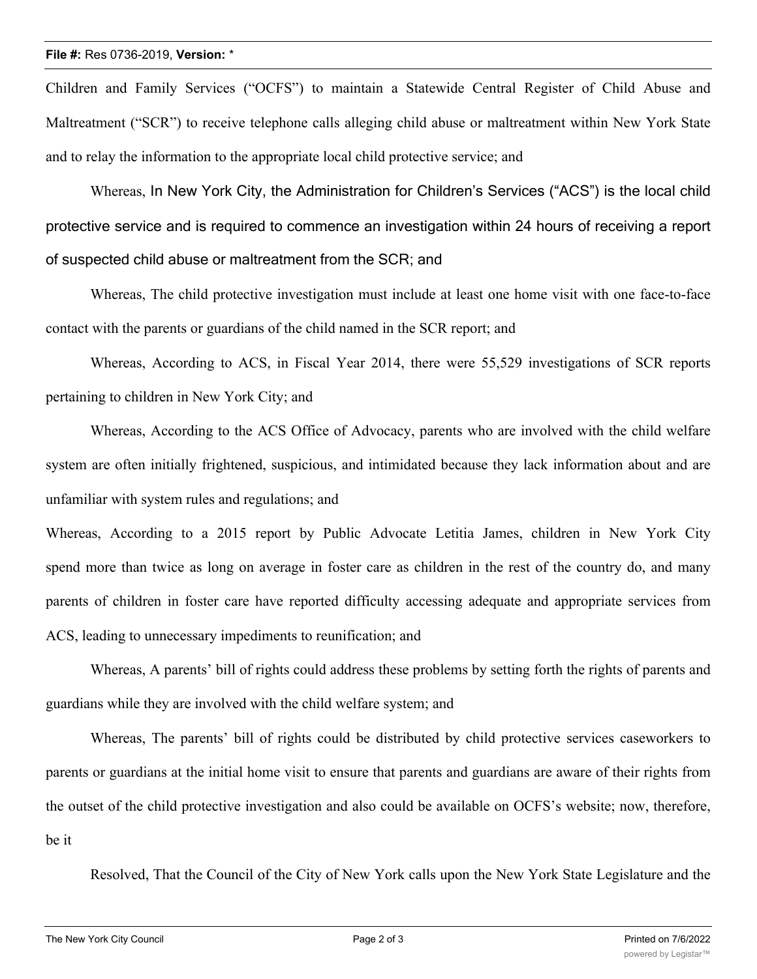Children and Family Services ("OCFS") to maintain a Statewide Central Register of Child Abuse and Maltreatment ("SCR") to receive telephone calls alleging child abuse or maltreatment within New York State and to relay the information to the appropriate local child protective service; and

Whereas, In New York City, the Administration for Children's Services ("ACS") is the local child protective service and is required to commence an investigation within 24 hours of receiving a report of suspected child abuse or maltreatment from the SCR; and

Whereas, The child protective investigation must include at least one home visit with one face-to-face contact with the parents or guardians of the child named in the SCR report; and

Whereas, According to ACS, in Fiscal Year 2014, there were 55,529 investigations of SCR reports pertaining to children in New York City; and

Whereas, According to the ACS Office of Advocacy, parents who are involved with the child welfare system are often initially frightened, suspicious, and intimidated because they lack information about and are unfamiliar with system rules and regulations; and

Whereas, According to a 2015 report by Public Advocate Letitia James, children in New York City spend more than twice as long on average in foster care as children in the rest of the country do, and many parents of children in foster care have reported difficulty accessing adequate and appropriate services from ACS, leading to unnecessary impediments to reunification; and

Whereas, A parents' bill of rights could address these problems by setting forth the rights of parents and guardians while they are involved with the child welfare system; and

Whereas, The parents' bill of rights could be distributed by child protective services caseworkers to parents or guardians at the initial home visit to ensure that parents and guardians are aware of their rights from the outset of the child protective investigation and also could be available on OCFS's website; now, therefore, be it

Resolved, That the Council of the City of New York calls upon the New York State Legislature and the